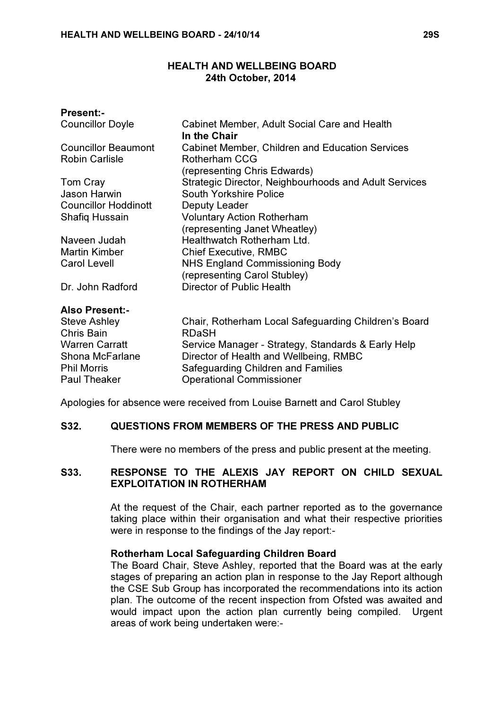### HEALTH AND WELLBEING BOARD 24th October, 2014

| <b>Present:-</b>                  |                                                                       |
|-----------------------------------|-----------------------------------------------------------------------|
| <b>Councillor Doyle</b>           | Cabinet Member, Adult Social Care and Health<br>In the Chair          |
| <b>Councillor Beaumont</b>        | <b>Cabinet Member, Children and Education Services</b>                |
| <b>Robin Carlisle</b>             | <b>Rotherham CCG</b><br>(representing Chris Edwards)                  |
| Tom Cray                          | Strategic Director, Neighbourhoods and Adult Services                 |
| Jason Harwin                      | South Yorkshire Police                                                |
| <b>Councillor Hoddinott</b>       | Deputy Leader                                                         |
| <b>Shafiq Hussain</b>             | <b>Voluntary Action Rotherham</b>                                     |
|                                   | (representing Janet Wheatley)                                         |
| Naveen Judah                      | Healthwatch Rotherham Ltd.                                            |
| <b>Martin Kimber</b>              | <b>Chief Executive, RMBC</b>                                          |
| <b>Carol Levell</b>               | <b>NHS England Commissioning Body</b><br>(representing Carol Stubley) |
| Dr. John Radford                  | Director of Public Health                                             |
| <b>Also Present:-</b>             |                                                                       |
| <b>Steve Ashley</b><br>Chris Bain | Chair, Rotherham Local Safeguarding Children's Board<br><b>RDaSH</b>  |
| <b>Warren Carratt</b>             | Service Manager - Strategy, Standards & Early Help                    |
| Shona McFarlane                   | Director of Health and Wellbeing, RMBC                                |
| <b>Phil Morris</b>                | Safeguarding Children and Families                                    |
| <b>Paul Theaker</b>               | <b>Operational Commissioner</b>                                       |
|                                   |                                                                       |

Apologies for absence were received from Louise Barnett and Carol Stubley

### S32. QUESTIONS FROM MEMBERS OF THE PRESS AND PUBLIC

There were no members of the press and public present at the meeting.

### S33. RESPONSE TO THE ALEXIS JAY REPORT ON CHILD SEXUAL EXPLOITATION IN ROTHERHAM

 At the request of the Chair, each partner reported as to the governance taking place within their organisation and what their respective priorities were in response to the findings of the Jay report:-

### Rotherham Local Safeguarding Children Board

The Board Chair, Steve Ashley, reported that the Board was at the early stages of preparing an action plan in response to the Jay Report although the CSE Sub Group has incorporated the recommendations into its action plan. The outcome of the recent inspection from Ofsted was awaited and would impact upon the action plan currently being compiled. Urgent areas of work being undertaken were:-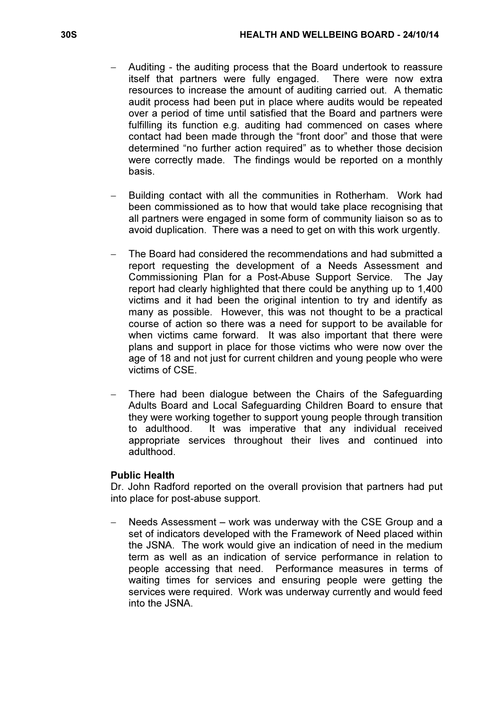- − Auditing the auditing process that the Board undertook to reassure itself that partners were fully engaged. There were now extra resources to increase the amount of auditing carried out. A thematic audit process had been put in place where audits would be repeated over a period of time until satisfied that the Board and partners were fulfilling its function e.g. auditing had commenced on cases where contact had been made through the "front door" and those that were determined "no further action required" as to whether those decision were correctly made. The findings would be reported on a monthly basis.
- Building contact with all the communities in Rotherham. Work had been commissioned as to how that would take place recognising that all partners were engaged in some form of community liaison so as to avoid duplication. There was a need to get on with this work urgently.
- − The Board had considered the recommendations and had submitted a report requesting the development of a Needs Assessment and Commissioning Plan for a Post-Abuse Support Service. The Jay report had clearly highlighted that there could be anything up to 1,400 victims and it had been the original intention to try and identify as many as possible. However, this was not thought to be a practical course of action so there was a need for support to be available for when victims came forward. It was also important that there were plans and support in place for those victims who were now over the age of 18 and not just for current children and young people who were victims of CSE.
- There had been dialogue between the Chairs of the Safeguarding Adults Board and Local Safeguarding Children Board to ensure that they were working together to support young people through transition to adulthood. It was imperative that any individual received appropriate services throughout their lives and continued into adulthood.

### Public Health

Dr. John Radford reported on the overall provision that partners had put into place for post-abuse support.

Needs Assessment – work was underway with the CSE Group and a set of indicators developed with the Framework of Need placed within the JSNA. The work would give an indication of need in the medium term as well as an indication of service performance in relation to people accessing that need. Performance measures in terms of waiting times for services and ensuring people were getting the services were required. Work was underway currently and would feed into the JSNA.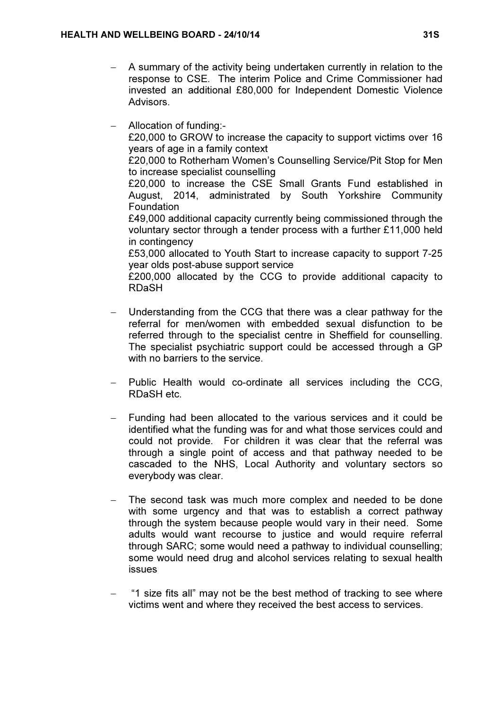- − A summary of the activity being undertaken currently in relation to the response to CSE. The interim Police and Crime Commissioner had invested an additional £80,000 for Independent Domestic Violence Advisors.
- − Allocation of funding:-

£20,000 to GROW to increase the capacity to support victims over 16 years of age in a family context

£20,000 to Rotherham Women's Counselling Service/Pit Stop for Men to increase specialist counselling

£20,000 to increase the CSE Small Grants Fund established in August, 2014, administrated by South Yorkshire Community Foundation

£49,000 additional capacity currently being commissioned through the voluntary sector through a tender process with a further £11,000 held in contingency

£53,000 allocated to Youth Start to increase capacity to support 7-25 year olds post-abuse support service

£200,000 allocated by the CCG to provide additional capacity to RDaSH

- Understanding from the CCG that there was a clear pathway for the referral for men/women with embedded sexual disfunction to be referred through to the specialist centre in Sheffield for counselling. The specialist psychiatric support could be accessed through a GP with no barriers to the service.
- Public Health would co-ordinate all services including the CCG, RDaSH etc.
- − Funding had been allocated to the various services and it could be identified what the funding was for and what those services could and could not provide. For children it was clear that the referral was through a single point of access and that pathway needed to be cascaded to the NHS, Local Authority and voluntary sectors so everybody was clear.
- The second task was much more complex and needed to be done with some urgency and that was to establish a correct pathway through the system because people would vary in their need. Some adults would want recourse to justice and would require referral through SARC; some would need a pathway to individual counselling; some would need drug and alcohol services relating to sexual health issues
- − "1 size fits all" may not be the best method of tracking to see where victims went and where they received the best access to services.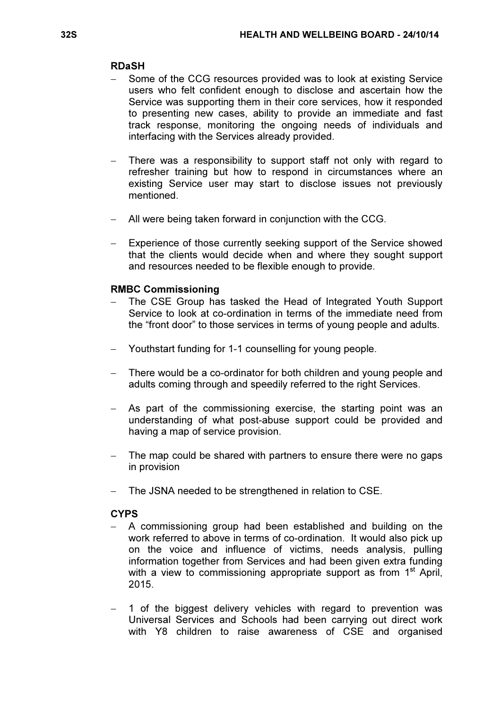#### RDaSH

- Some of the CCG resources provided was to look at existing Service users who felt confident enough to disclose and ascertain how the Service was supporting them in their core services, how it responded to presenting new cases, ability to provide an immediate and fast track response, monitoring the ongoing needs of individuals and interfacing with the Services already provided.
- There was a responsibility to support staff not only with regard to refresher training but how to respond in circumstances where an existing Service user may start to disclose issues not previously mentioned.
- − All were being taken forward in conjunction with the CCG.
- Experience of those currently seeking support of the Service showed that the clients would decide when and where they sought support and resources needed to be flexible enough to provide.

### RMBC Commissioning

- The CSE Group has tasked the Head of Integrated Youth Support Service to look at co-ordination in terms of the immediate need from the "front door" to those services in terms of young people and adults.
- − Youthstart funding for 1-1 counselling for young people.
- − There would be a co-ordinator for both children and young people and adults coming through and speedily referred to the right Services.
- As part of the commissioning exercise, the starting point was an understanding of what post-abuse support could be provided and having a map of service provision.
- The map could be shared with partners to ensure there were no gaps in provision
- The JSNA needed to be strengthened in relation to CSE.

### **CYPS**

- A commissioning group had been established and building on the work referred to above in terms of co-ordination. It would also pick up on the voice and influence of victims, needs analysis, pulling information together from Services and had been given extra funding with a view to commissioning appropriate support as from 1<sup>st</sup> April, 2015.
- − 1 of the biggest delivery vehicles with regard to prevention was Universal Services and Schools had been carrying out direct work with Y8 children to raise awareness of CSE and organised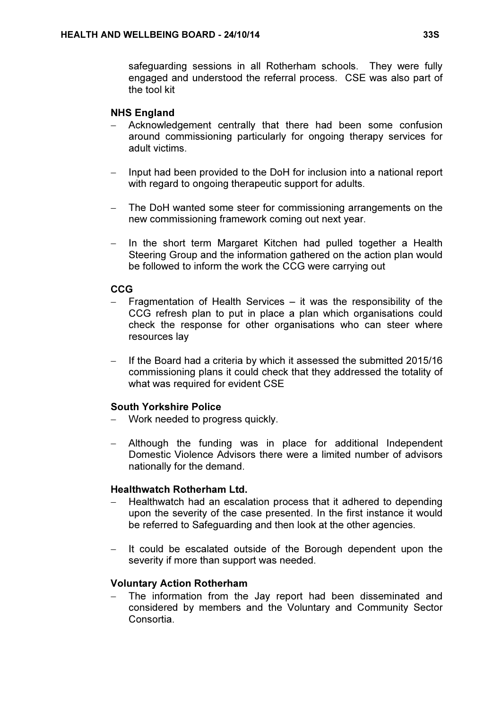safeguarding sessions in all Rotherham schools. They were fully engaged and understood the referral process. CSE was also part of the tool kit

# NHS England

- − Acknowledgement centrally that there had been some confusion around commissioning particularly for ongoing therapy services for adult victims.
- − Input had been provided to the DoH for inclusion into a national report with regard to ongoing therapeutic support for adults.
- The DoH wanted some steer for commissioning arrangements on the new commissioning framework coming out next year.
- − In the short term Margaret Kitchen had pulled together a Health Steering Group and the information gathered on the action plan would be followed to inform the work the CCG were carrying out

# **CCG**

- Fragmentation of Health Services it was the responsibility of the CCG refresh plan to put in place a plan which organisations could check the response for other organisations who can steer where resources lay
- − If the Board had a criteria by which it assessed the submitted 2015/16 commissioning plans it could check that they addressed the totality of what was required for evident CSE

### South Yorkshire Police

- − Work needed to progress quickly.
- − Although the funding was in place for additional Independent Domestic Violence Advisors there were a limited number of advisors nationally for the demand.

# Healthwatch Rotherham Ltd.

- − Healthwatch had an escalation process that it adhered to depending upon the severity of the case presented. In the first instance it would be referred to Safeguarding and then look at the other agencies.
- − It could be escalated outside of the Borough dependent upon the severity if more than support was needed.

# Voluntary Action Rotherham

The information from the Jay report had been disseminated and considered by members and the Voluntary and Community Sector Consortia.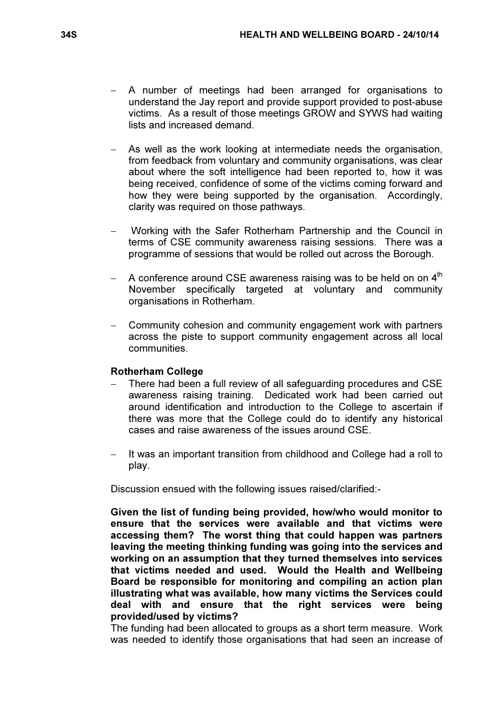- A number of meetings had been arranged for organisations to understand the Jay report and provide support provided to post-abuse victims. As a result of those meetings GROW and SYWS had waiting lists and increased demand.
- As well as the work looking at intermediate needs the organisation, from feedback from voluntary and community organisations, was clear about where the soft intelligence had been reported to, how it was being received, confidence of some of the victims coming forward and how they were being supported by the organisation. Accordingly, clarity was required on those pathways.
- − Working with the Safer Rotherham Partnership and the Council in terms of CSE community awareness raising sessions. There was a programme of sessions that would be rolled out across the Borough.
- A conference around CSE awareness raising was to be held on on 4<sup>th</sup> November specifically targeted at voluntary and community organisations in Rotherham.
- − Community cohesion and community engagement work with partners across the piste to support community engagement across all local communities.

### Rotherham College

- There had been a full review of all safeguarding procedures and CSE awareness raising training. Dedicated work had been carried out around identification and introduction to the College to ascertain if there was more that the College could do to identify any historical cases and raise awareness of the issues around CSE.
- − It was an important transition from childhood and College had a roll to play.

Discussion ensued with the following issues raised/clarified:-

Given the list of funding being provided, how/who would monitor to ensure that the services were available and that victims were accessing them? The worst thing that could happen was partners leaving the meeting thinking funding was going into the services and working on an assumption that they turned themselves into services that victims needed and used. Would the Health and Wellbeing Board be responsible for monitoring and compiling an action plan illustrating what was available, how many victims the Services could deal with and ensure that the right services were being provided/used by victims?

The funding had been allocated to groups as a short term measure. Work was needed to identify those organisations that had seen an increase of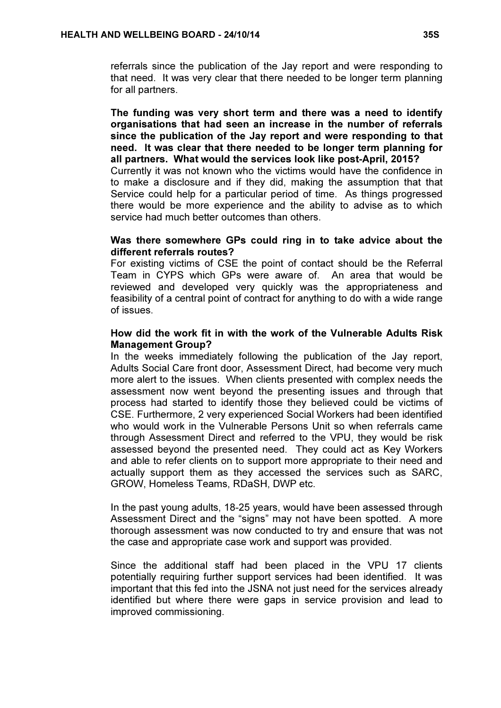referrals since the publication of the Jay report and were responding to that need. It was very clear that there needed to be longer term planning for all partners.

The funding was very short term and there was a need to identify organisations that had seen an increase in the number of referrals since the publication of the Jay report and were responding to that need. It was clear that there needed to be longer term planning for all partners. What would the services look like post-April, 2015?

Currently it was not known who the victims would have the confidence in to make a disclosure and if they did, making the assumption that that Service could help for a particular period of time. As things progressed there would be more experience and the ability to advise as to which service had much better outcomes than others.

### Was there somewhere GPs could ring in to take advice about the different referrals routes?

For existing victims of CSE the point of contact should be the Referral Team in CYPS which GPs were aware of. An area that would be reviewed and developed very quickly was the appropriateness and feasibility of a central point of contract for anything to do with a wide range of issues.

### How did the work fit in with the work of the Vulnerable Adults Risk Management Group?

In the weeks immediately following the publication of the Jay report, Adults Social Care front door, Assessment Direct, had become very much more alert to the issues. When clients presented with complex needs the assessment now went beyond the presenting issues and through that process had started to identify those they believed could be victims of CSE. Furthermore, 2 very experienced Social Workers had been identified who would work in the Vulnerable Persons Unit so when referrals came through Assessment Direct and referred to the VPU, they would be risk assessed beyond the presented need. They could act as Key Workers and able to refer clients on to support more appropriate to their need and actually support them as they accessed the services such as SARC, GROW, Homeless Teams, RDaSH, DWP etc.

In the past young adults, 18-25 years, would have been assessed through Assessment Direct and the "signs" may not have been spotted. A more thorough assessment was now conducted to try and ensure that was not the case and appropriate case work and support was provided.

Since the additional staff had been placed in the VPU 17 clients potentially requiring further support services had been identified. It was important that this fed into the JSNA not just need for the services already identified but where there were gaps in service provision and lead to improved commissioning.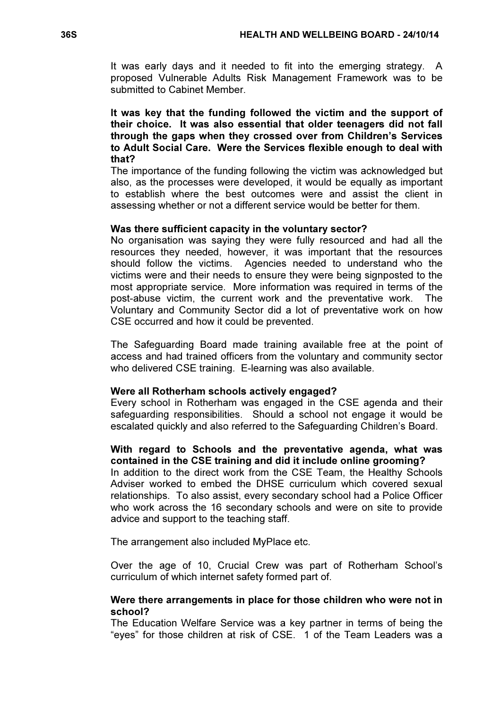It was early days and it needed to fit into the emerging strategy. A proposed Vulnerable Adults Risk Management Framework was to be submitted to Cabinet Member.

It was key that the funding followed the victim and the support of their choice. It was also essential that older teenagers did not fall through the gaps when they crossed over from Children's Services to Adult Social Care. Were the Services flexible enough to deal with that?

The importance of the funding following the victim was acknowledged but also, as the processes were developed, it would be equally as important to establish where the best outcomes were and assist the client in assessing whether or not a different service would be better for them.

### Was there sufficient capacity in the voluntary sector?

No organisation was saying they were fully resourced and had all the resources they needed, however, it was important that the resources should follow the victims. Agencies needed to understand who the victims were and their needs to ensure they were being signposted to the most appropriate service. More information was required in terms of the post-abuse victim, the current work and the preventative work. The Voluntary and Community Sector did a lot of preventative work on how CSE occurred and how it could be prevented.

The Safeguarding Board made training available free at the point of access and had trained officers from the voluntary and community sector who delivered CSE training. E-learning was also available.

#### Were all Rotherham schools actively engaged?

Every school in Rotherham was engaged in the CSE agenda and their safeguarding responsibilities. Should a school not engage it would be escalated quickly and also referred to the Safeguarding Children's Board.

### With regard to Schools and the preventative agenda, what was contained in the CSE training and did it include online grooming?

In addition to the direct work from the CSE Team, the Healthy Schools Adviser worked to embed the DHSE curriculum which covered sexual relationships. To also assist, every secondary school had a Police Officer who work across the 16 secondary schools and were on site to provide advice and support to the teaching staff.

The arrangement also included MyPlace etc.

Over the age of 10, Crucial Crew was part of Rotherham School's curriculum of which internet safety formed part of.

### Were there arrangements in place for those children who were not in school?

The Education Welfare Service was a key partner in terms of being the "eyes" for those children at risk of CSE. 1 of the Team Leaders was a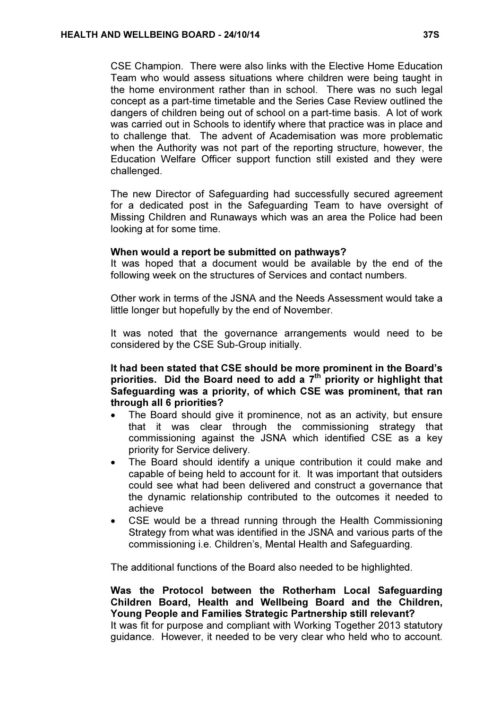CSE Champion. There were also links with the Elective Home Education Team who would assess situations where children were being taught in the home environment rather than in school. There was no such legal concept as a part-time timetable and the Series Case Review outlined the dangers of children being out of school on a part-time basis. A lot of work was carried out in Schools to identify where that practice was in place and to challenge that. The advent of Academisation was more problematic when the Authority was not part of the reporting structure, however, the Education Welfare Officer support function still existed and they were challenged.

The new Director of Safeguarding had successfully secured agreement for a dedicated post in the Safeguarding Team to have oversight of Missing Children and Runaways which was an area the Police had been looking at for some time.

#### When would a report be submitted on pathways?

It was hoped that a document would be available by the end of the following week on the structures of Services and contact numbers.

Other work in terms of the JSNA and the Needs Assessment would take a little longer but hopefully by the end of November.

It was noted that the governance arrangements would need to be considered by the CSE Sub-Group initially.

### It had been stated that CSE should be more prominent in the Board's priorities. Did the Board need to add a  $7<sup>th</sup>$  priority or highlight that Safeguarding was a priority, of which CSE was prominent, that ran through all 6 priorities?

- The Board should give it prominence, not as an activity, but ensure that it was clear through the commissioning strategy that commissioning against the JSNA which identified CSE as a key priority for Service delivery.
- The Board should identify a unique contribution it could make and capable of being held to account for it. It was important that outsiders could see what had been delivered and construct a governance that the dynamic relationship contributed to the outcomes it needed to achieve
- CSE would be a thread running through the Health Commissioning Strategy from what was identified in the JSNA and various parts of the commissioning i.e. Children's, Mental Health and Safeguarding.

The additional functions of the Board also needed to be highlighted.

# Was the Protocol between the Rotherham Local Safeguarding Children Board, Health and Wellbeing Board and the Children, Young People and Families Strategic Partnership still relevant? It was fit for purpose and compliant with Working Together 2013 statutory

guidance. However, it needed to be very clear who held who to account.